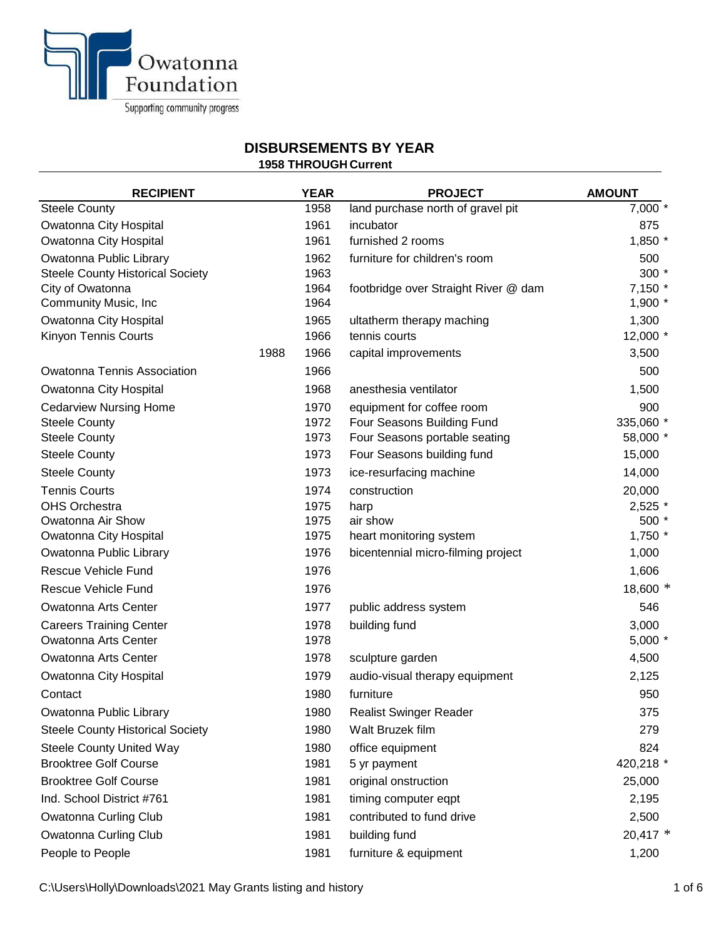

## **DISBURSEMENTS BY YEAR**

| PIVDVI \VEINEI \I V D I I E/ \I \ |  |  |  |  |
|-----------------------------------|--|--|--|--|
| <b>1958 THROUGH Current</b>       |  |  |  |  |
|                                   |  |  |  |  |

| <b>RECIPIENT</b>                                      |      | <b>YEAR</b>  | <b>PROJECT</b>                       | <b>AMOUNT</b>     |
|-------------------------------------------------------|------|--------------|--------------------------------------|-------------------|
| <b>Steele County</b>                                  |      | 1958         | land purchase north of gravel pit    | 7,000 *           |
| Owatonna City Hospital                                |      | 1961         | incubator                            | 875               |
| Owatonna City Hospital                                |      | 1961         | furnished 2 rooms                    | 1,850 *           |
| Owatonna Public Library                               |      | 1962         | furniture for children's room        | 500               |
| <b>Steele County Historical Society</b>               |      | 1963         |                                      | $300*$            |
| City of Owatonna                                      |      | 1964         | footbridge over Straight River @ dam | 7,150 *           |
| Community Music, Inc                                  |      | 1964         |                                      | $1,900$ *         |
| Owatonna City Hospital<br><b>Kinyon Tennis Courts</b> |      | 1965<br>1966 | ultatherm therapy maching            | 1,300<br>12,000 * |
|                                                       |      | 1966         | tennis courts                        |                   |
|                                                       | 1988 |              | capital improvements                 | 3,500             |
| <b>Owatonna Tennis Association</b>                    |      | 1966         |                                      | 500               |
| Owatonna City Hospital                                |      | 1968         | anesthesia ventilator                | 1,500             |
| <b>Cedarview Nursing Home</b>                         |      | 1970         | equipment for coffee room            | 900               |
| <b>Steele County</b>                                  |      | 1972<br>1973 | Four Seasons Building Fund           | 335,060 *         |
| <b>Steele County</b>                                  |      |              | Four Seasons portable seating        | 58,000 *          |
| <b>Steele County</b>                                  |      | 1973         | Four Seasons building fund           | 15,000            |
| <b>Steele County</b>                                  |      | 1973         | ice-resurfacing machine              | 14,000            |
| <b>Tennis Courts</b>                                  |      | 1974         | construction                         | 20,000            |
| <b>OHS Orchestra</b><br>Owatonna Air Show             |      | 1975<br>1975 | harp<br>air show                     | 2,525 *<br>500 *  |
| Owatonna City Hospital                                |      | 1975         | heart monitoring system              | $1,750$ *         |
| Owatonna Public Library                               |      | 1976         | bicentennial micro-filming project   | 1,000             |
| <b>Rescue Vehicle Fund</b>                            |      | 1976         |                                      | 1,606             |
| <b>Rescue Vehicle Fund</b>                            |      | 1976         |                                      | 18,600 *          |
| <b>Owatonna Arts Center</b>                           |      | 1977         | public address system                | 546               |
| <b>Careers Training Center</b>                        |      | 1978         | building fund                        | 3,000             |
| Owatonna Arts Center                                  |      | 1978         |                                      | $5,000*$          |
| Owatonna Arts Center                                  |      | 1978         | sculpture garden                     | 4,500             |
| Owatonna City Hospital                                |      | 1979         | audio-visual therapy equipment       | 2,125             |
| Contact                                               |      | 1980         | furniture                            | 950               |
| Owatonna Public Library                               |      | 1980         | <b>Realist Swinger Reader</b>        | 375               |
| <b>Steele County Historical Society</b>               |      | 1980         | Walt Bruzek film                     | 279               |
| <b>Steele County United Way</b>                       |      | 1980         | office equipment                     | 824               |
| <b>Brooktree Golf Course</b>                          |      | 1981         | 5 yr payment                         | 420,218 *         |
| <b>Brooktree Golf Course</b>                          |      | 1981         | original onstruction                 | 25,000            |
| Ind. School District #761                             |      | 1981         | timing computer eqpt                 | 2,195             |
| <b>Owatonna Curling Club</b>                          |      | 1981         | contributed to fund drive            | 2,500             |
| Owatonna Curling Club                                 |      | 1981         | building fund                        | $20,417$ *        |
| People to People                                      |      | 1981         | furniture & equipment                | 1,200             |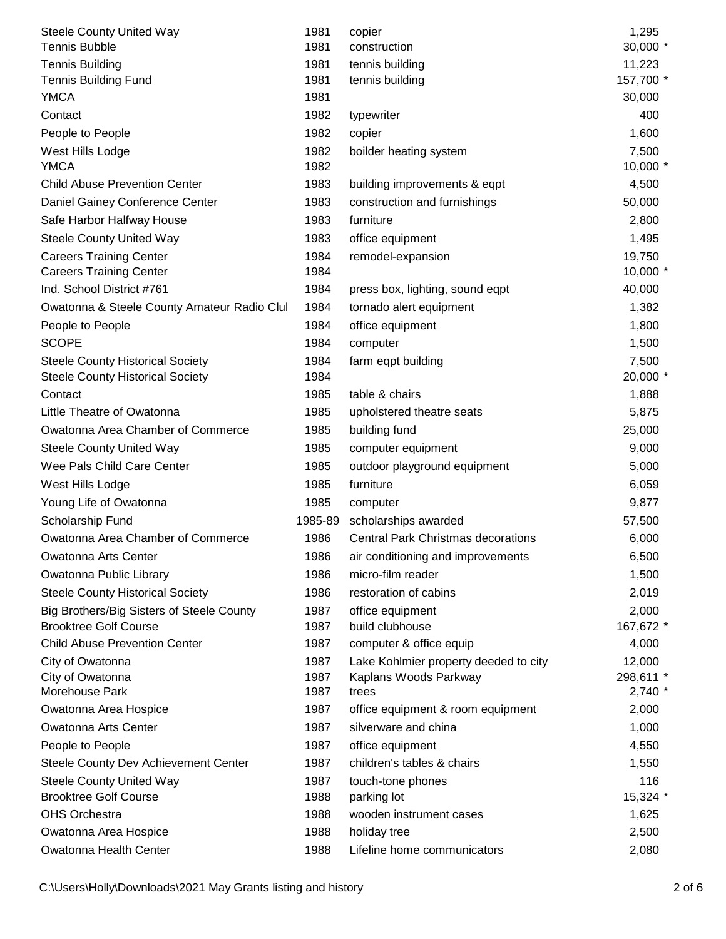| <b>Steele County United Way</b>             | 1981    | copier                                    | 1,295      |
|---------------------------------------------|---------|-------------------------------------------|------------|
| <b>Tennis Bubble</b>                        | 1981    | construction                              | 30,000 *   |
| <b>Tennis Building</b>                      | 1981    | tennis building                           | 11,223     |
| <b>Tennis Building Fund</b>                 | 1981    | tennis building                           | 157,700 *  |
| <b>YMCA</b>                                 | 1981    |                                           | 30,000     |
| Contact                                     | 1982    | typewriter                                | 400        |
| People to People                            | 1982    | copier                                    | 1,600      |
| West Hills Lodge                            | 1982    | boilder heating system                    | 7,500      |
| <b>YMCA</b>                                 | 1982    |                                           | 10,000 *   |
| <b>Child Abuse Prevention Center</b>        | 1983    | building improvements & eqpt              | 4,500      |
| Daniel Gainey Conference Center             | 1983    | construction and furnishings              | 50,000     |
| Safe Harbor Halfway House                   | 1983    | furniture                                 | 2,800      |
| <b>Steele County United Way</b>             | 1983    | office equipment                          | 1,495      |
| <b>Careers Training Center</b>              | 1984    | remodel-expansion                         | 19,750     |
| <b>Careers Training Center</b>              | 1984    |                                           | $10,000$ * |
| Ind. School District #761                   | 1984    | press box, lighting, sound eqpt           | 40,000     |
| Owatonna & Steele County Amateur Radio Clul | 1984    | tornado alert equipment                   | 1,382      |
| People to People                            | 1984    | office equipment                          | 1,800      |
| <b>SCOPE</b>                                | 1984    | computer                                  | 1,500      |
| <b>Steele County Historical Society</b>     | 1984    | farm eqpt building                        | 7,500      |
| <b>Steele County Historical Society</b>     | 1984    |                                           | 20,000 *   |
| Contact                                     | 1985    | table & chairs                            | 1,888      |
| Little Theatre of Owatonna                  | 1985    | upholstered theatre seats                 | 5,875      |
| Owatonna Area Chamber of Commerce           | 1985    | building fund                             | 25,000     |
| <b>Steele County United Way</b>             | 1985    | computer equipment                        | 9,000      |
| Wee Pals Child Care Center                  | 1985    | outdoor playground equipment              | 5,000      |
| West Hills Lodge                            | 1985    | furniture                                 | 6,059      |
| Young Life of Owatonna                      | 1985    | computer                                  | 9,877      |
| Scholarship Fund                            | 1985-89 | scholarships awarded                      | 57,500     |
| Owatonna Area Chamber of Commerce           | 1986    | <b>Central Park Christmas decorations</b> | 6,000      |
| Owatonna Arts Center                        | 1986    | air conditioning and improvements         | 6,500      |
| Owatonna Public Library                     | 1986    | micro-film reader                         | 1,500      |
| <b>Steele County Historical Society</b>     | 1986    | restoration of cabins                     | 2,019      |
| Big Brothers/Big Sisters of Steele County   | 1987    | office equipment                          | 2,000      |
| <b>Brooktree Golf Course</b>                | 1987    | build clubhouse                           | 167,672 *  |
| <b>Child Abuse Prevention Center</b>        | 1987    | computer & office equip                   | 4,000      |
| City of Owatonna                            | 1987    | Lake Kohlmier property deeded to city     | 12,000     |
| City of Owatonna                            | 1987    | Kaplans Woods Parkway                     | 298,611 *  |
| Morehouse Park                              | 1987    | trees                                     | 2,740 *    |
| Owatonna Area Hospice                       | 1987    | office equipment & room equipment         | 2,000      |
| <b>Owatonna Arts Center</b>                 | 1987    | silverware and china                      | 1,000      |
| People to People                            | 1987    | office equipment                          | 4,550      |
| Steele County Dev Achievement Center        | 1987    | children's tables & chairs                | 1,550      |
| <b>Steele County United Way</b>             | 1987    | touch-tone phones                         | 116        |
| <b>Brooktree Golf Course</b>                | 1988    | parking lot                               | 15,324 *   |
| <b>OHS Orchestra</b>                        | 1988    | wooden instrument cases                   | 1,625      |
| Owatonna Area Hospice                       | 1988    | holiday tree                              | 2,500      |
| Owatonna Health Center                      | 1988    | Lifeline home communicators               | 2,080      |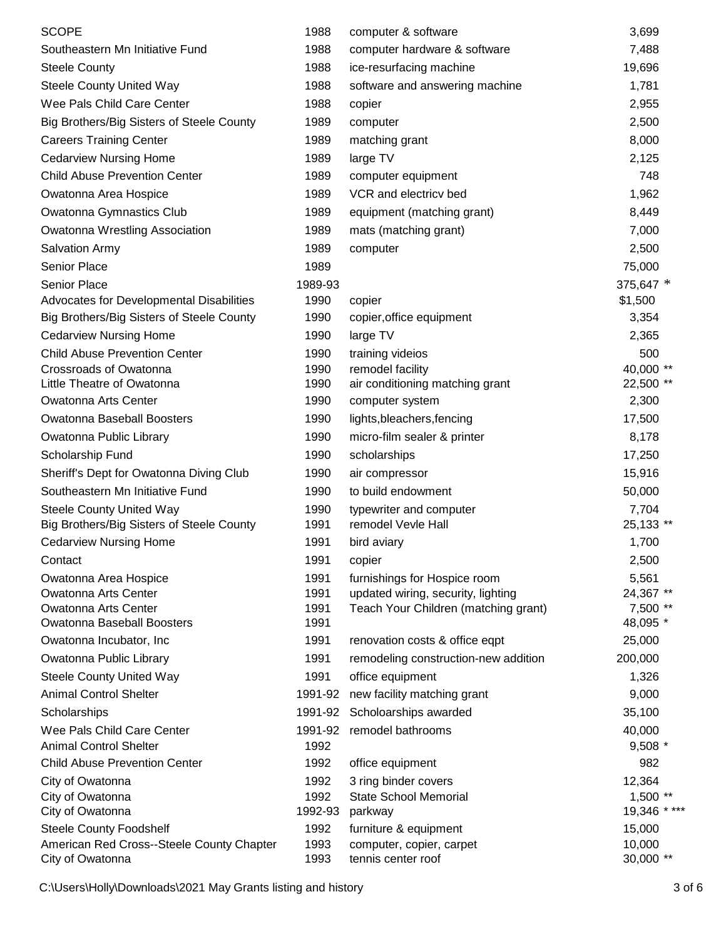| <b>SCOPE</b>                                                | 1988            | computer & software                                  | 3,699                |
|-------------------------------------------------------------|-----------------|------------------------------------------------------|----------------------|
| Southeastern Mn Initiative Fund                             | 1988            | computer hardware & software                         | 7,488                |
| <b>Steele County</b>                                        | 1988            | ice-resurfacing machine                              | 19,696               |
| <b>Steele County United Way</b>                             | 1988            | software and answering machine                       | 1,781                |
| Wee Pals Child Care Center                                  | 1988            | copier                                               | 2,955                |
| Big Brothers/Big Sisters of Steele County                   | 1989            | computer                                             | 2,500                |
| <b>Careers Training Center</b>                              | 1989            | matching grant                                       | 8,000                |
| <b>Cedarview Nursing Home</b>                               | 1989            | large TV                                             | 2,125                |
| <b>Child Abuse Prevention Center</b>                        | 1989            | computer equipment                                   | 748                  |
| Owatonna Area Hospice                                       | 1989            | VCR and electricy bed                                | 1,962                |
| Owatonna Gymnastics Club                                    | 1989            | equipment (matching grant)                           | 8,449                |
| Owatonna Wrestling Association                              | 1989            | mats (matching grant)                                | 7,000                |
| <b>Salvation Army</b>                                       | 1989            | computer                                             | 2,500                |
| Senior Place                                                | 1989            |                                                      | 75,000               |
| <b>Senior Place</b>                                         | 1989-93         |                                                      | 375,647 *            |
| Advocates for Developmental Disabilities                    | 1990            | copier                                               | \$1,500              |
| Big Brothers/Big Sisters of Steele County                   | 1990            | copier, office equipment                             | 3,354                |
| <b>Cedarview Nursing Home</b>                               | 1990            | large TV                                             | 2,365                |
| <b>Child Abuse Prevention Center</b>                        | 1990            | training videios                                     | 500                  |
| Crossroads of Owatonna                                      | 1990            | remodel facility                                     | 40,000 **            |
| Little Theatre of Owatonna                                  | 1990            | air conditioning matching grant                      | 22,500 **            |
| Owatonna Arts Center                                        | 1990            | computer system                                      | 2,300                |
| Owatonna Baseball Boosters                                  | 1990            | lights, bleachers, fencing                           | 17,500               |
| Owatonna Public Library                                     | 1990            | micro-film sealer & printer                          | 8,178                |
| Scholarship Fund                                            | 1990            | scholarships                                         | 17,250               |
| Sheriff's Dept for Owatonna Diving Club                     | 1990            | air compressor                                       | 15,916               |
| Southeastern Mn Initiative Fund                             | 1990            | to build endowment                                   | 50,000               |
| <b>Steele County United Way</b>                             | 1990            | typewriter and computer                              | 7,704                |
| Big Brothers/Big Sisters of Steele County                   | 1991            | remodel Vevle Hall                                   | 25,133 **            |
| <b>Cedarview Nursing Home</b>                               | 1991            | bird aviary                                          | 1,700                |
| Contact                                                     | 1991            | copier                                               | 2,500                |
| Owatonna Area Hospice                                       | 1991            | furnishings for Hospice room                         | 5,561                |
| Owatonna Arts Center                                        | 1991            | updated wiring, security, lighting                   | 24,367 **            |
| Owatonna Arts Center                                        | 1991            | Teach Your Children (matching grant)                 | 7,500 **             |
| Owatonna Baseball Boosters                                  | 1991            |                                                      | 48,095 *             |
| Owatonna Incubator, Inc.                                    | 1991            | renovation costs & office eqpt                       | 25,000               |
| Owatonna Public Library                                     | 1991            | remodeling construction-new addition                 | 200,000              |
| <b>Steele County United Way</b>                             | 1991            | office equipment                                     | 1,326                |
| <b>Animal Control Shelter</b>                               | 1991-92         | new facility matching grant                          | 9,000                |
| Scholarships                                                | 1991-92         | Scholoarships awarded                                | 35,100               |
| Wee Pals Child Care Center<br><b>Animal Control Shelter</b> | 1991-92<br>1992 | remodel bathrooms                                    | 40,000               |
| <b>Child Abuse Prevention Center</b>                        | 1992            |                                                      | $9,508$ *<br>982     |
|                                                             |                 | office equipment                                     |                      |
| City of Owatonna<br>City of Owatonna                        | 1992<br>1992    | 3 ring binder covers<br><b>State School Memorial</b> | 12,364<br>$1,500$ ** |
| City of Owatonna                                            | 1992-93         | parkway                                              | 19,346 ****          |
| <b>Steele County Foodshelf</b>                              | 1992            | furniture & equipment                                | 15,000               |
| American Red Cross--Steele County Chapter                   | 1993            | computer, copier, carpet                             | 10,000               |
| City of Owatonna                                            | 1993            | tennis center roof                                   | 30,000 **            |

C:\Users\Holly\Downloads\2021 May Grants listing and history 3 of 6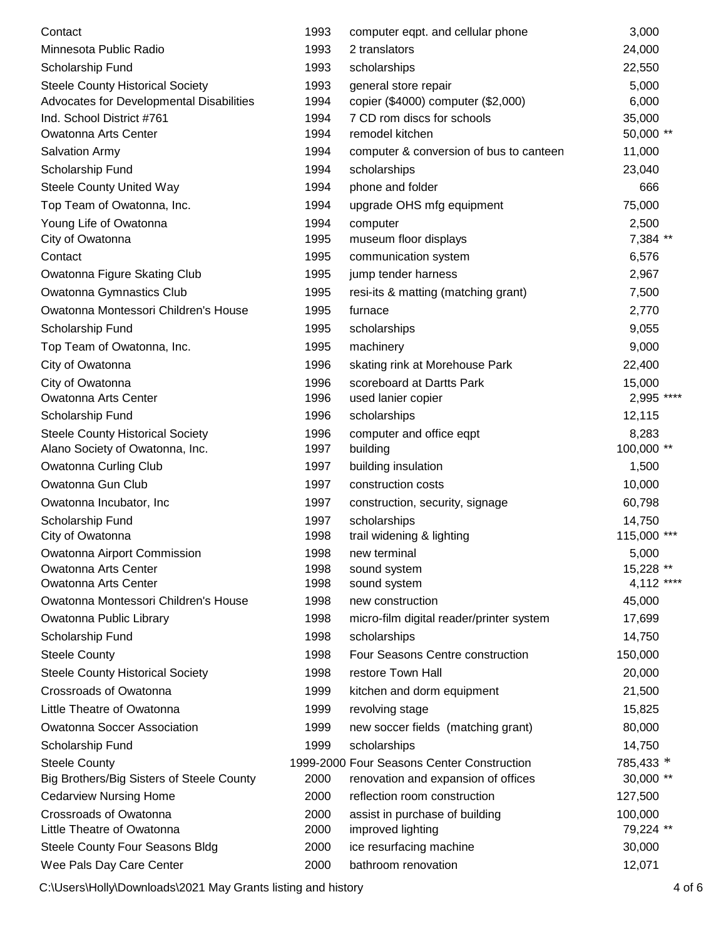| Contact                                   | 1993 | computer eqpt. and cellular phone          | 3,000          |
|-------------------------------------------|------|--------------------------------------------|----------------|
| Minnesota Public Radio                    | 1993 | 2 translators                              | 24,000         |
| Scholarship Fund                          | 1993 | scholarships                               | 22,550         |
| <b>Steele County Historical Society</b>   | 1993 | general store repair                       | 5,000          |
| Advocates for Developmental Disabilities  | 1994 | copier (\$4000) computer (\$2,000)         | 6,000          |
| Ind. School District #761                 | 1994 | 7 CD rom discs for schools                 | 35,000         |
| <b>Owatonna Arts Center</b>               | 1994 | remodel kitchen                            | 50,000 **      |
| <b>Salvation Army</b>                     | 1994 | computer & conversion of bus to canteen    | 11,000         |
| Scholarship Fund                          | 1994 | scholarships                               | 23,040         |
| <b>Steele County United Way</b>           | 1994 | phone and folder                           | 666            |
| Top Team of Owatonna, Inc.                | 1994 | upgrade OHS mfg equipment                  | 75,000         |
| Young Life of Owatonna                    | 1994 | computer                                   | 2,500          |
| City of Owatonna                          | 1995 | museum floor displays                      | 7,384 **       |
| Contact                                   | 1995 | communication system                       | 6,576          |
| Owatonna Figure Skating Club              | 1995 | jump tender harness                        | 2,967          |
| Owatonna Gymnastics Club                  | 1995 | resi-its & matting (matching grant)        | 7,500          |
| Owatonna Montessori Children's House      | 1995 | furnace                                    | 2,770          |
| Scholarship Fund                          | 1995 | scholarships                               | 9,055          |
| Top Team of Owatonna, Inc.                | 1995 | machinery                                  | 9,000          |
| City of Owatonna                          | 1996 | skating rink at Morehouse Park             | 22,400         |
| City of Owatonna                          | 1996 | scoreboard at Dartts Park                  | 15,000         |
| Owatonna Arts Center                      | 1996 | used lanier copier                         | 2,995 ****     |
| Scholarship Fund                          | 1996 | scholarships                               | 12,115         |
| <b>Steele County Historical Society</b>   | 1996 | computer and office eqpt                   | 8,283          |
| Alano Society of Owatonna, Inc.           | 1997 | building                                   | 100,000 **     |
| Owatonna Curling Club                     | 1997 | building insulation                        | 1,500          |
| Owatonna Gun Club                         | 1997 | construction costs                         | 10,000         |
| Owatonna Incubator, Inc.                  | 1997 | construction, security, signage            | 60,798         |
| Scholarship Fund                          | 1997 | scholarships                               | 14,750         |
| City of Owatonna                          | 1998 | trail widening & lighting                  | 115,000<br>*** |
| Owatonna Airport Commission               | 1998 | new terminal                               | 5,000          |
| <b>Owatonna Arts Center</b>               | 1998 | sound system                               | 15,228 **      |
| Owatonna Arts Center                      | 1998 | sound system                               | 4,112 ****     |
| Owatonna Montessori Children's House      | 1998 | new construction                           | 45,000         |
| Owatonna Public Library                   | 1998 | micro-film digital reader/printer system   | 17,699         |
| Scholarship Fund                          | 1998 | scholarships                               | 14,750         |
| <b>Steele County</b>                      | 1998 | Four Seasons Centre construction           | 150,000        |
| <b>Steele County Historical Society</b>   | 1998 | restore Town Hall                          | 20,000         |
| Crossroads of Owatonna                    | 1999 | kitchen and dorm equipment                 | 21,500         |
| Little Theatre of Owatonna                | 1999 | revolving stage                            | 15,825         |
| <b>Owatonna Soccer Association</b>        | 1999 | new soccer fields (matching grant)         | 80,000         |
| Scholarship Fund                          | 1999 | scholarships                               | 14,750         |
| <b>Steele County</b>                      |      | 1999-2000 Four Seasons Center Construction | 785,433 *      |
| Big Brothers/Big Sisters of Steele County | 2000 | renovation and expansion of offices        | 30,000 **      |
| <b>Cedarview Nursing Home</b>             | 2000 | reflection room construction               | 127,500        |
| Crossroads of Owatonna                    | 2000 | assist in purchase of building             | 100,000        |
| Little Theatre of Owatonna                | 2000 | improved lighting                          | 79,224 **      |
| Steele County Four Seasons Bldg           | 2000 | ice resurfacing machine                    | 30,000         |
| Wee Pals Day Care Center                  | 2000 | bathroom renovation                        | 12,071         |

C:\Users\Holly\Downloads\2021 May Grants listing and history 4 of 6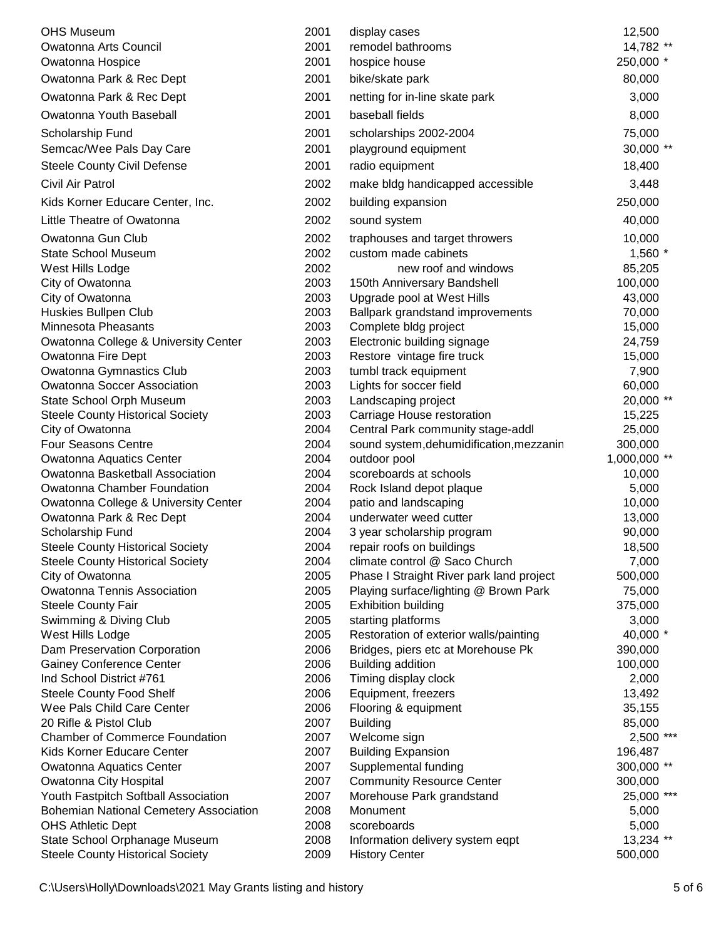| <b>OHS Museum</b>                             | 2001 | display cases                            | 12,500       |
|-----------------------------------------------|------|------------------------------------------|--------------|
| <b>Owatonna Arts Council</b>                  | 2001 | remodel bathrooms                        | 14,782 **    |
| Owatonna Hospice                              | 2001 | hospice house                            | 250,000 *    |
| Owatonna Park & Rec Dept                      | 2001 | bike/skate park                          | 80,000       |
| Owatonna Park & Rec Dept                      | 2001 | netting for in-line skate park           | 3,000        |
| Owatonna Youth Baseball                       | 2001 | baseball fields                          | 8,000        |
| Scholarship Fund                              | 2001 | scholarships 2002-2004                   | 75,000       |
| Semcac/Wee Pals Day Care                      | 2001 | playground equipment                     | 30,000 **    |
| <b>Steele County Civil Defense</b>            | 2001 | radio equipment                          | 18,400       |
| Civil Air Patrol                              | 2002 | make bldg handicapped accessible         | 3,448        |
| Kids Korner Educare Center, Inc.              | 2002 | building expansion                       | 250,000      |
| Little Theatre of Owatonna                    | 2002 | sound system                             | 40,000       |
| Owatonna Gun Club                             | 2002 | traphouses and target throwers           | 10,000       |
| <b>State School Museum</b>                    | 2002 | custom made cabinets                     | 1,560 *      |
| West Hills Lodge                              | 2002 | new roof and windows                     | 85,205       |
| City of Owatonna                              | 2003 | 150th Anniversary Bandshell              | 100,000      |
| City of Owatonna                              | 2003 | Upgrade pool at West Hills               | 43,000       |
| Huskies Bullpen Club                          | 2003 | Ballpark grandstand improvements         | 70,000       |
| Minnesota Pheasants                           | 2003 | Complete bldg project                    | 15,000       |
| Owatonna College & University Center          | 2003 | Electronic building signage              | 24,759       |
| Owatonna Fire Dept                            | 2003 | Restore vintage fire truck               | 15,000       |
| Owatonna Gymnastics Club                      | 2003 | tumbl track equipment                    | 7,900        |
| <b>Owatonna Soccer Association</b>            | 2003 | Lights for soccer field                  | 60,000       |
| State School Orph Museum                      | 2003 | Landscaping project                      | 20,000 **    |
| <b>Steele County Historical Society</b>       | 2003 | Carriage House restoration               | 15,225       |
| City of Owatonna                              | 2004 | Central Park community stage-addl        | 25,000       |
| <b>Four Seasons Centre</b>                    | 2004 | sound system, dehumidification, mezzanin | 300,000      |
| Owatonna Aquatics Center                      | 2004 | outdoor pool                             | 1,000,000 ** |
| Owatonna Basketball Association               | 2004 | scoreboards at schools                   | 10,000       |
| Owatonna Chamber Foundation                   | 2004 | Rock Island depot plaque                 | 5,000        |
| Owatonna College & University Center          | 2004 | patio and landscaping                    | 10,000       |
| Owatonna Park & Rec Dept                      | 2004 | underwater weed cutter                   | 13,000       |
| Scholarship Fund                              | 2004 | 3 year scholarship program               | 90,000       |
| <b>Steele County Historical Society</b>       | 2004 | repair roofs on buildings                | 18,500       |
| <b>Steele County Historical Society</b>       | 2004 | climate control @ Saco Church            | 7,000        |
| City of Owatonna                              | 2005 | Phase I Straight River park land project | 500,000      |
| Owatonna Tennis Association                   | 2005 | Playing surface/lighting @ Brown Park    | 75,000       |
| <b>Steele County Fair</b>                     | 2005 | <b>Exhibition building</b>               | 375,000      |
| Swimming & Diving Club                        | 2005 | starting platforms                       | 3,000        |
| West Hills Lodge                              | 2005 | Restoration of exterior walls/painting   | 40,000 *     |
| Dam Preservation Corporation                  | 2006 | Bridges, piers etc at Morehouse Pk       | 390,000      |
| <b>Gainey Conference Center</b>               | 2006 | Building addition                        | 100,000      |
| Ind School District #761                      | 2006 | Timing display clock                     | 2,000        |
| <b>Steele County Food Shelf</b>               | 2006 | Equipment, freezers                      | 13,492       |
| Wee Pals Child Care Center                    | 2006 | Flooring & equipment                     | 35,155       |
| 20 Rifle & Pistol Club                        | 2007 | <b>Building</b>                          | 85,000       |
| <b>Chamber of Commerce Foundation</b>         | 2007 | Welcome sign                             | 2,500 ***    |
| Kids Korner Educare Center                    | 2007 | <b>Building Expansion</b>                | 196,487      |
| Owatonna Aquatics Center                      | 2007 | Supplemental funding                     | 300,000 **   |
| Owatonna City Hospital                        | 2007 | <b>Community Resource Center</b>         | 300,000      |
| Youth Fastpitch Softball Association          | 2007 | Morehouse Park grandstand                | 25,000 ***   |
| <b>Bohemian National Cemetery Association</b> | 2008 | Monument                                 | 5,000        |
| <b>OHS Athletic Dept</b>                      | 2008 | scoreboards                              | 5,000        |
| State School Orphanage Museum                 | 2008 | Information delivery system eqpt         | 13,234 **    |
| <b>Steele County Historical Society</b>       | 2009 | <b>History Center</b>                    | 500,000      |